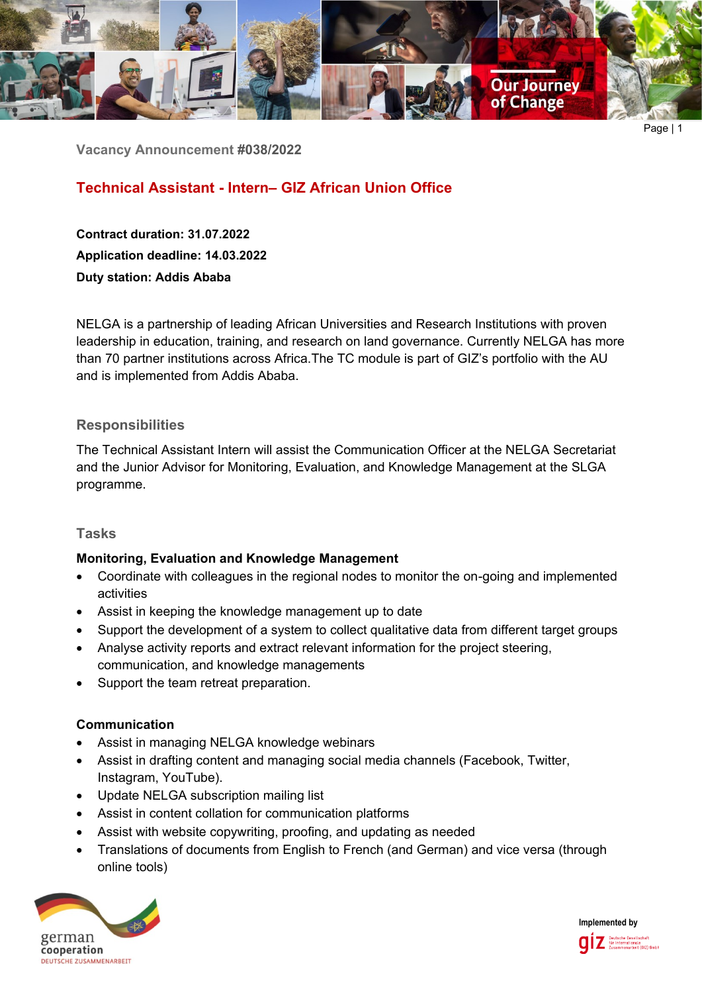

Page | 1

**Vacancy Announcement #038/2022**

# **Technical Assistant - Intern– GIZ African Union Office**

**Contract duration: 31.07.2022 Application deadline: 14.03.2022 Duty station: Addis Ababa**

NELGA is a partnership of leading African Universities and Research Institutions with proven leadership in education, training, and research on land governance. Currently NELGA has more than 70 partner institutions across Africa.The TC module is part of GIZ's portfolio with the AU and is implemented from Addis Ababa.

## **Responsibilities**

The Technical Assistant Intern will assist the Communication Officer at the NELGA Secretariat and the Junior Advisor for Monitoring, Evaluation, and Knowledge Management at the SLGA programme.

## **Tasks**

## **Monitoring, Evaluation and Knowledge Management**

- Coordinate with colleagues in the regional nodes to monitor the on-going and implemented activities
- Assist in keeping the knowledge management up to date
- Support the development of a system to collect qualitative data from different target groups
- Analyse activity reports and extract relevant information for the project steering, communication, and knowledge managements
- Support the team retreat preparation.

### **Communication**

- Assist in managing NELGA knowledge webinars
- Assist in drafting content and managing social media channels (Facebook, Twitter, Instagram, YouTube).
- Update NELGA subscription mailing list
- Assist in content collation for communication platforms
- Assist with website copywriting, proofing, and updating as needed
- Translations of documents from English to French (and German) and vice versa (through online tools)



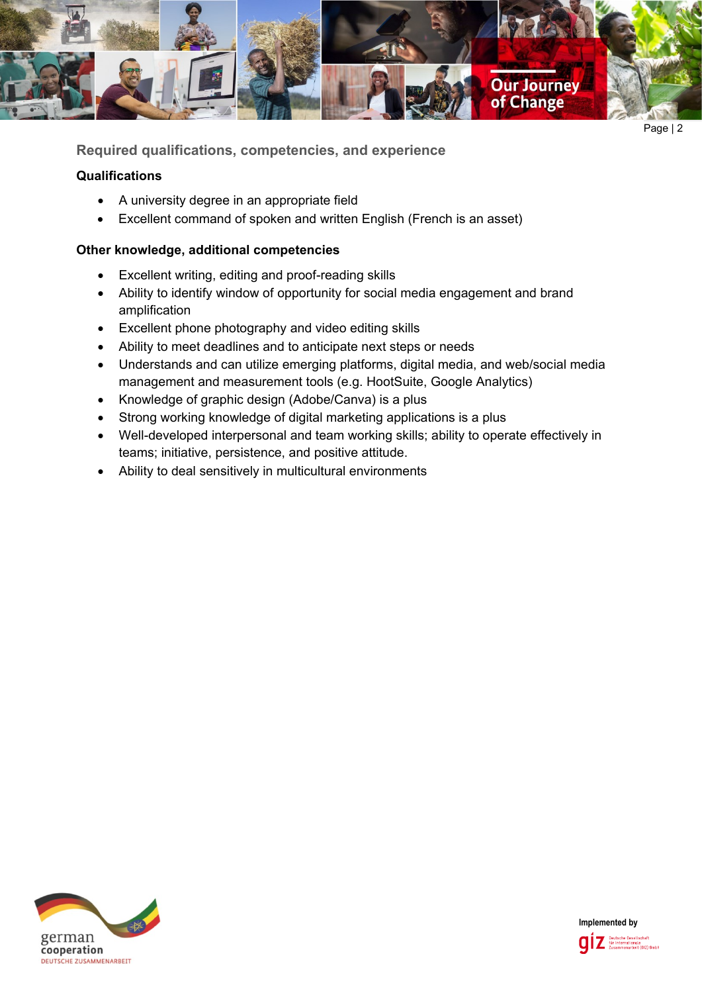

Page | 2

**Required qualifications, competencies, and experience**

## **Qualifications**

- A university degree in an appropriate field
- Excellent command of spoken and written English (French is an asset)

## **Other knowledge, additional competencies**

- Excellent writing, editing and proof-reading skills
- Ability to identify window of opportunity for social media engagement and brand amplification
- Excellent phone photography and video editing skills
- Ability to meet deadlines and to anticipate next steps or needs
- Understands and can utilize emerging platforms, digital media, and web/social media management and measurement tools (e.g. HootSuite, Google Analytics)
- Knowledge of graphic design (Adobe/Canva) is a plus
- Strong working knowledge of digital marketing applications is a plus
- Well-developed interpersonal and team working skills; ability to operate effectively in teams; initiative, persistence, and positive attitude.
- Ability to deal sensitively in multicultural environments